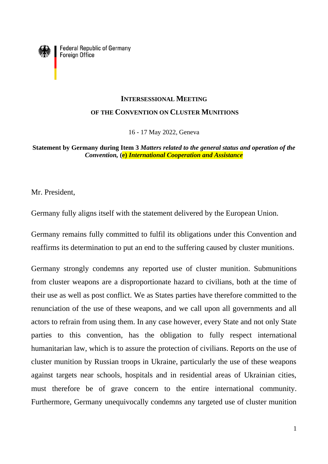

**Federal Republic of Germany** Foreign Office

## **INTERSESSIONAL MEETING OF THE CONVENTION ON CLUSTER MUNITIONS**

16 - 17 May 2022, Geneva

**Statement by Germany during Item 3** *Matters related to the general status and operation of the Convention,* **(e)** *International Cooperation and Assistance*

Mr. President,

Germany fully aligns itself with the statement delivered by the European Union.

Germany remains fully committed to fulfil its obligations under this Convention and reaffirms its determination to put an end to the suffering caused by cluster munitions.

Germany strongly condemns any reported use of cluster munition. Submunitions from cluster weapons are a disproportionate hazard to civilians, both at the time of their use as well as post conflict. We as States parties have therefore committed to the renunciation of the use of these weapons, and we call upon all governments and all actors to refrain from using them. In any case however, every State and not only State parties to this convention, has the obligation to fully respect international humanitarian law, which is to assure the protection of civilians. Reports on the use of cluster munition by Russian troops in Ukraine, particularly the use of these weapons against targets near schools, hospitals and in residential areas of Ukrainian cities, must therefore be of grave concern to the entire international community. Furthermore, Germany unequivocally condemns any targeted use of cluster munition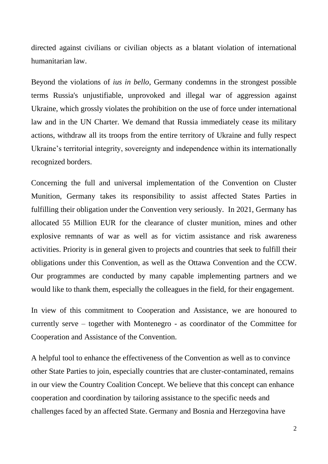directed against civilians or civilian objects as a blatant violation of international humanitarian law.

Beyond the violations of *ius in bello*, Germany condemns in the strongest possible terms Russia's unjustifiable, unprovoked and illegal war of aggression against Ukraine, which grossly violates the prohibition on the use of force under international law and in the UN Charter. We demand that Russia immediately cease its military actions, withdraw all its troops from the entire territory of Ukraine and fully respect Ukraine's territorial integrity, sovereignty and independence within its internationally recognized borders.

Concerning the full and universal implementation of the Convention on Cluster Munition, Germany takes its responsibility to assist affected States Parties in fulfilling their obligation under the Convention very seriously. In 2021, Germany has allocated 55 Million EUR for the clearance of cluster munition, mines and other explosive remnants of war as well as for victim assistance and risk awareness activities. Priority is in general given to projects and countries that seek to fulfill their obligations under this Convention, as well as the Ottawa Convention and the CCW. Our programmes are conducted by many capable implementing partners and we would like to thank them, especially the colleagues in the field, for their engagement.

In view of this commitment to Cooperation and Assistance, we are honoured to currently serve – together with Montenegro - as coordinator of the Committee for Cooperation and Assistance of the Convention.

A helpful tool to enhance the effectiveness of the Convention as well as to convince other State Parties to join, especially countries that are cluster-contaminated, remains in our view the Country Coalition Concept. We believe that this concept can enhance cooperation and coordination by tailoring assistance to the specific needs and challenges faced by an affected State. Germany and Bosnia and Herzegovina have